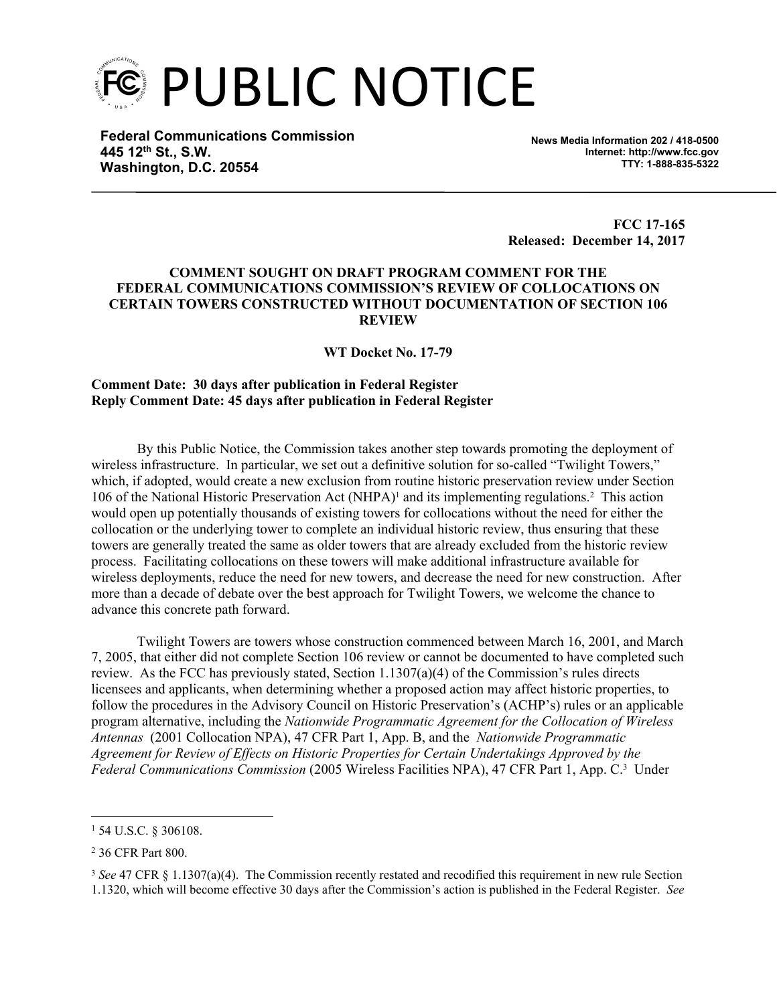

**Federal Communications Commission 445 12th St., S.W. Washington, D.C. 20554**

**News Media Information 202 / 418-0500 Internet: http://www.fcc.gov TTY: 1-888-835-5322**

**FCC 17-165 Released: December 14, 2017**

# **COMMENT SOUGHT ON DRAFT PROGRAM COMMENT FOR THE FEDERAL COMMUNICATIONS COMMISSION'S REVIEW OF COLLOCATIONS ON CERTAIN TOWERS CONSTRUCTED WITHOUT DOCUMENTATION OF SECTION 106 REVIEW**

**WT Docket No. 17-79**

### **Comment Date: 30 days after publication in Federal Register Reply Comment Date: 45 days after publication in Federal Register**

By this Public Notice, the Commission takes another step towards promoting the deployment of wireless infrastructure. In particular, we set out a definitive solution for so-called "Twilight Towers," which, if adopted, would create a new exclusion from routine historic preservation review under Section 106 of the National Historic Preservation Act (NHPA)<sup>1</sup> and its implementing regulations.<sup>2</sup> This action would open up potentially thousands of existing towers for collocations without the need for either the collocation or the underlying tower to complete an individual historic review, thus ensuring that these towers are generally treated the same as older towers that are already excluded from the historic review process. Facilitating collocations on these towers will make additional infrastructure available for wireless deployments, reduce the need for new towers, and decrease the need for new construction. After more than a decade of debate over the best approach for Twilight Towers, we welcome the chance to advance this concrete path forward.

Twilight Towers are towers whose construction commenced between March 16, 2001, and March 7, 2005, that either did not complete Section 106 review or cannot be documented to have completed such review. As the FCC has previously stated, Section 1.1307(a)(4) of the Commission's rules directs licensees and applicants, when determining whether a proposed action may affect historic properties, to follow the procedures in the Advisory Council on Historic Preservation's (ACHP's) rules or an applicable program alternative, including the *Nationwide Programmatic Agreement for the Collocation of Wireless Antennas* (2001 Collocation NPA), 47 CFR Part 1, App. B, and the *Nationwide Programmatic Agreement for Review of Effects on Historic Properties for Certain Undertakings Approved by the*  Federal Communications Commission (2005 Wireless Facilities NPA), 47 CFR Part 1, App. C.<sup>3</sup> Under

<sup>&</sup>lt;sup>1</sup> 54 U.S.C. § 306108.

<sup>2</sup> 36 CFR Part 800.

<sup>3</sup> *See* 47 CFR § 1.1307(a)(4). The Commission recently restated and recodified this requirement in new rule Section 1.1320, which will become effective 30 days after the Commission's action is published in the Federal Register. *See*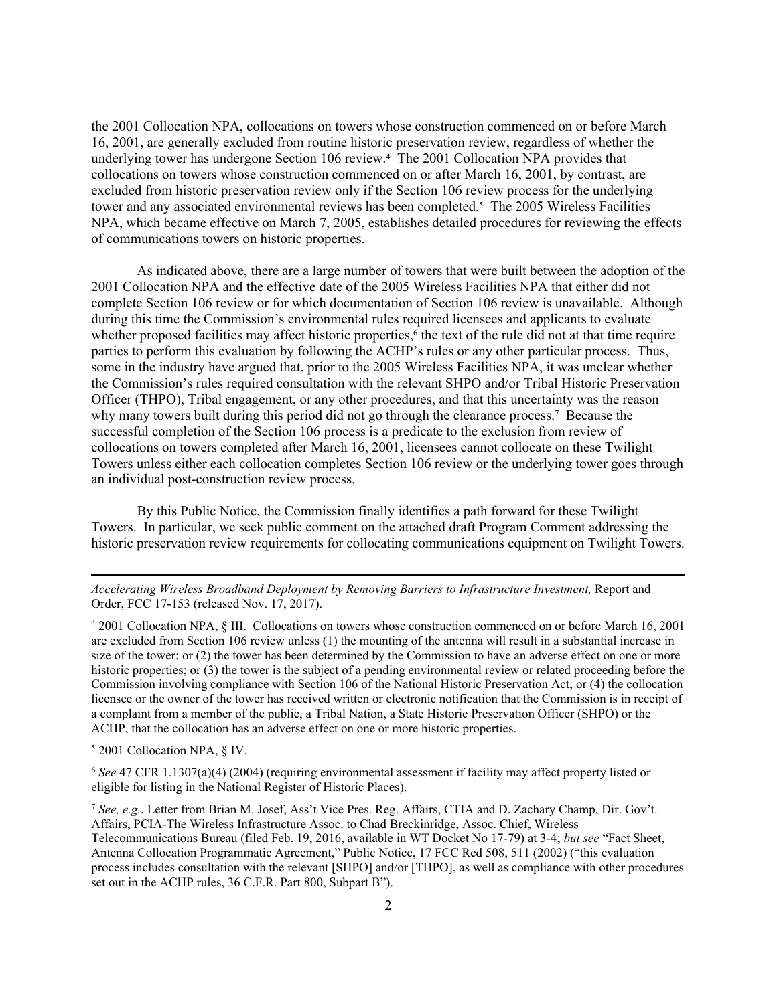the 2001 Collocation NPA, collocations on towers whose construction commenced on or before March 16, 2001, are generally excluded from routine historic preservation review, regardless of whether the underlying tower has undergone Section 106 review.<sup>4</sup> The 2001 Collocation NPA provides that collocations on towers whose construction commenced on or after March 16, 2001, by contrast, are excluded from historic preservation review only if the Section 106 review process for the underlying tower and any associated environmental reviews has been completed.<sup>5</sup> The 2005 Wireless Facilities NPA, which became effective on March 7, 2005, establishes detailed procedures for reviewing the effects of communications towers on historic properties.

As indicated above, there are a large number of towers that were built between the adoption of the 2001 Collocation NPA and the effective date of the 2005 Wireless Facilities NPA that either did not complete Section 106 review or for which documentation of Section 106 review is unavailable. Although during this time the Commission's environmental rules required licensees and applicants to evaluate whether proposed facilities may affect historic properties,<sup>6</sup> the text of the rule did not at that time require parties to perform this evaluation by following the ACHP's rules or any other particular process. Thus, some in the industry have argued that, prior to the 2005 Wireless Facilities NPA, it was unclear whether the Commission's rules required consultation with the relevant SHPO and/or Tribal Historic Preservation Officer (THPO), Tribal engagement, or any other procedures, and that this uncertainty was the reason why many towers built during this period did not go through the clearance process.<sup>7</sup> Because the successful completion of the Section 106 process is a predicate to the exclusion from review of collocations on towers completed after March 16, 2001, licensees cannot collocate on these Twilight Towers unless either each collocation completes Section 106 review or the underlying tower goes through an individual post-construction review process.

By this Public Notice, the Commission finally identifies a path forward for these Twilight Towers. In particular, we seek public comment on the attached draft Program Comment addressing the historic preservation review requirements for collocating communications equipment on Twilight Towers.

4 2001 Collocation NPA, § III. Collocations on towers whose construction commenced on or before March 16, 2001 are excluded from Section 106 review unless (1) the mounting of the antenna will result in a substantial increase in size of the tower; or (2) the tower has been determined by the Commission to have an adverse effect on one or more historic properties; or (3) the tower is the subject of a pending environmental review or related proceeding before the Commission involving compliance with Section 106 of the National Historic Preservation Act; or (4) the collocation licensee or the owner of the tower has received written or electronic notification that the Commission is in receipt of a complaint from a member of the public, a Tribal Nation, a State Historic Preservation Officer (SHPO) or the ACHP, that the collocation has an adverse effect on one or more historic properties.

5 2001 Collocation NPA, § IV.

<sup>6</sup> *See* 47 CFR 1.1307(a)(4) (2004) (requiring environmental assessment if facility may affect property listed or eligible for listing in the National Register of Historic Places).

<sup>7</sup> *See, e.g.*, Letter from Brian M. Josef, Ass't Vice Pres. Reg. Affairs, CTIA and D. Zachary Champ, Dir. Gov't. Affairs, PCIA-The Wireless Infrastructure Assoc. to Chad Breckinridge, Assoc. Chief, Wireless Telecommunications Bureau (filed Feb. 19, 2016, available in WT Docket No 17-79) at 3-4; *but see* "Fact Sheet, Antenna Collocation Programmatic Agreement," Public Notice, 17 FCC Rcd 508, 511 (2002) ("this evaluation process includes consultation with the relevant [SHPO] and/or [THPO], as well as compliance with other procedures set out in the ACHP rules, 36 C.F.R. Part 800, Subpart B").

*Accelerating Wireless Broadband Deployment by Removing Barriers to Infrastructure Investment,* Report and Order, FCC 17-153 (released Nov. 17, 2017).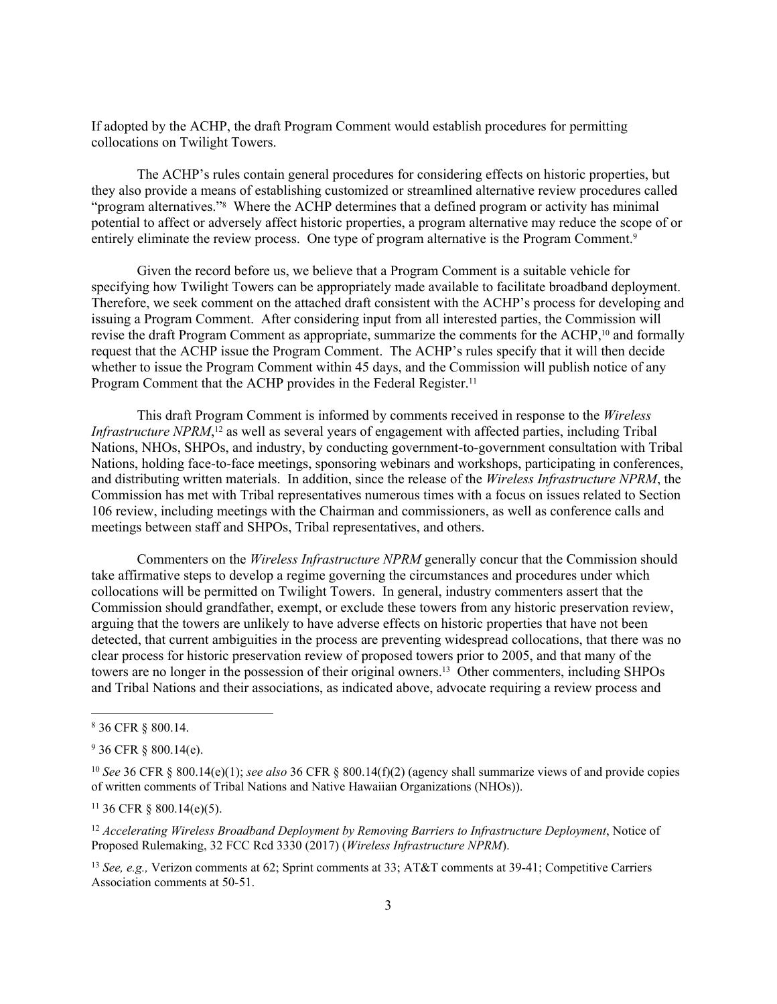If adopted by the ACHP, the draft Program Comment would establish procedures for permitting collocations on Twilight Towers.

The ACHP's rules contain general procedures for considering effects on historic properties, but they also provide a means of establishing customized or streamlined alternative review procedures called "program alternatives."<sup>8</sup> Where the ACHP determines that a defined program or activity has minimal potential to affect or adversely affect historic properties, a program alternative may reduce the scope of or entirely eliminate the review process. One type of program alternative is the Program Comment.<sup>9</sup>

Given the record before us, we believe that a Program Comment is a suitable vehicle for specifying how Twilight Towers can be appropriately made available to facilitate broadband deployment. Therefore, we seek comment on the attached draft consistent with the ACHP's process for developing and issuing a Program Comment. After considering input from all interested parties, the Commission will revise the draft Program Comment as appropriate, summarize the comments for the ACHP,10 and formally request that the ACHP issue the Program Comment. The ACHP's rules specify that it will then decide whether to issue the Program Comment within 45 days, and the Commission will publish notice of any Program Comment that the ACHP provides in the Federal Register.<sup>11</sup>

This draft Program Comment is informed by comments received in response to the *Wireless*  Infrastructure NPRM,<sup>12</sup> as well as several years of engagement with affected parties, including Tribal Nations, NHOs, SHPOs, and industry, by conducting government-to-government consultation with Tribal Nations, holding face-to-face meetings, sponsoring webinars and workshops, participating in conferences, and distributing written materials. In addition, since the release of the *Wireless Infrastructure NPRM*, the Commission has met with Tribal representatives numerous times with a focus on issues related to Section 106 review, including meetings with the Chairman and commissioners, as well as conference calls and meetings between staff and SHPOs, Tribal representatives, and others.

Commenters on the *Wireless Infrastructure NPRM* generally concur that the Commission should take affirmative steps to develop a regime governing the circumstances and procedures under which collocations will be permitted on Twilight Towers. In general, industry commenters assert that the Commission should grandfather, exempt, or exclude these towers from any historic preservation review, arguing that the towers are unlikely to have adverse effects on historic properties that have not been detected, that current ambiguities in the process are preventing widespread collocations, that there was no clear process for historic preservation review of proposed towers prior to 2005, and that many of the towers are no longer in the possession of their original owners.13 Other commenters, including SHPOs and Tribal Nations and their associations, as indicated above, advocate requiring a review process and

<sup>12</sup> *Accelerating Wireless Broadband Deployment by Removing Barriers to Infrastructure Deployment*, Notice of Proposed Rulemaking, 32 FCC Rcd 3330 (2017) (*Wireless Infrastructure NPRM*).

<sup>13</sup> *See, e.g.,* Verizon comments at 62; Sprint comments at 33; AT&T comments at 39-41; Competitive Carriers Association comments at 50-51.

<sup>8</sup> 36 CFR § 800.14.

<sup>9</sup> 36 CFR § 800.14(e).

<sup>10</sup> *See* 36 CFR § 800.14(e)(1); *see also* 36 CFR § 800.14(f)(2) (agency shall summarize views of and provide copies of written comments of Tribal Nations and Native Hawaiian Organizations (NHOs)).

 $11$  36 CFR § 800.14(e)(5).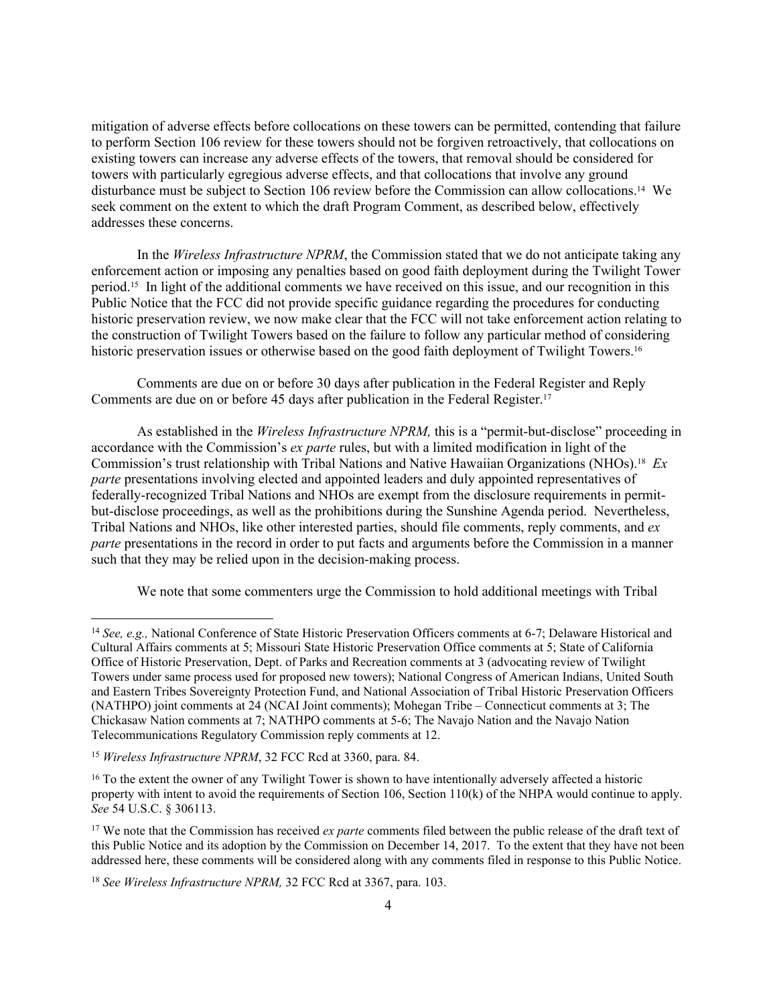mitigation of adverse effects before collocations on these towers can be permitted, contending that failure to perform Section 106 review for these towers should not be forgiven retroactively, that collocations on existing towers can increase any adverse effects of the towers, that removal should be considered for towers with particularly egregious adverse effects, and that collocations that involve any ground disturbance must be subject to Section 106 review before the Commission can allow collocations.<sup>14</sup> We seek comment on the extent to which the draft Program Comment, as described below, effectively addresses these concerns.

In the *Wireless Infrastructure NPRM*, the Commission stated that we do not anticipate taking any enforcement action or imposing any penalties based on good faith deployment during the Twilight Tower period.15 In light of the additional comments we have received on this issue, and our recognition in this Public Notice that the FCC did not provide specific guidance regarding the procedures for conducting historic preservation review, we now make clear that the FCC will not take enforcement action relating to the construction of Twilight Towers based on the failure to follow any particular method of considering historic preservation issues or otherwise based on the good faith deployment of Twilight Towers.<sup>16</sup>

Comments are due on or before 30 days after publication in the Federal Register and Reply Comments are due on or before 45 days after publication in the Federal Register.<sup>17</sup>

As established in the *Wireless Infrastructure NPRM,* this is a "permit-but-disclose" proceeding in accordance with the Commission's *ex parte* rules, but with a limited modification in light of the Commission's trust relationship with Tribal Nations and Native Hawaiian Organizations (NHOs).<sup>18</sup> *Ex parte* presentations involving elected and appointed leaders and duly appointed representatives of federally-recognized Tribal Nations and NHOs are exempt from the disclosure requirements in permitbut-disclose proceedings, as well as the prohibitions during the Sunshine Agenda period. Nevertheless, Tribal Nations and NHOs, like other interested parties, should file comments, reply comments, and *ex parte* presentations in the record in order to put facts and arguments before the Commission in a manner such that they may be relied upon in the decision-making process.

We note that some commenters urge the Commission to hold additional meetings with Tribal

<sup>14</sup> *See, e.g.,* National Conference of State Historic Preservation Officers comments at 6-7; Delaware Historical and Cultural Affairs comments at 5; Missouri State Historic Preservation Office comments at 5; State of California Office of Historic Preservation, Dept. of Parks and Recreation comments at 3 (advocating review of Twilight Towers under same process used for proposed new towers); National Congress of American Indians, United South and Eastern Tribes Sovereignty Protection Fund, and National Association of Tribal Historic Preservation Officers (NATHPO) joint comments at 24 (NCAI Joint comments); Mohegan Tribe – Connecticut comments at 3; The Chickasaw Nation comments at 7; NATHPO comments at 5-6; The Navajo Nation and the Navajo Nation Telecommunications Regulatory Commission reply comments at 12.

<sup>15</sup> *Wireless Infrastructure NPRM*, 32 FCC Rcd at 3360, para. 84.

<sup>&</sup>lt;sup>16</sup> To the extent the owner of any Twilight Tower is shown to have intentionally adversely affected a historic property with intent to avoid the requirements of Section 106, Section 110(k) of the NHPA would continue to apply. *See* 54 U.S.C. § 306113.

<sup>&</sup>lt;sup>17</sup> We note that the Commission has received *ex parte* comments filed between the public release of the draft text of this Public Notice and its adoption by the Commission on December 14, 2017. To the extent that they have not been addressed here, these comments will be considered along with any comments filed in response to this Public Notice.

<sup>18</sup> *See Wireless Infrastructure NPRM,* 32 FCC Rcd at 3367, para. 103.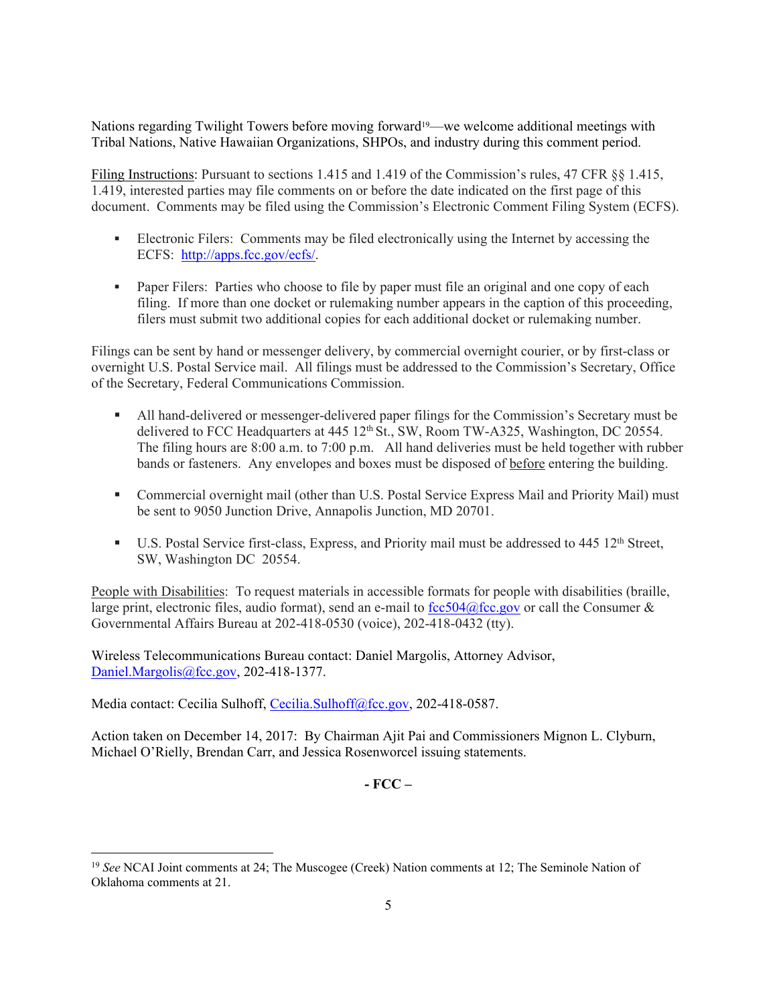Nations regarding Twilight Towers before moving forward<sup>19</sup>—we welcome additional meetings with Tribal Nations, Native Hawaiian Organizations, SHPOs, and industry during this comment period.

Filing Instructions: Pursuant to sections 1.415 and 1.419 of the Commission's rules, 47 CFR §§ 1.415, 1.419, interested parties may file comments on or before the date indicated on the first page of this document. Comments may be filed using the Commission's Electronic Comment Filing System (ECFS).

- Electronic Filers: Comments may be filed electronically using the Internet by accessing the ECFS: [http://apps.fcc.gov/ecfs/.](http://apps.fcc.gov/ecfs/)
- Paper Filers: Parties who choose to file by paper must file an original and one copy of each filing. If more than one docket or rulemaking number appears in the caption of this proceeding, filers must submit two additional copies for each additional docket or rulemaking number.

Filings can be sent by hand or messenger delivery, by commercial overnight courier, or by first-class or overnight U.S. Postal Service mail. All filings must be addressed to the Commission's Secretary, Office of the Secretary, Federal Communications Commission.

- All hand-delivered or messenger-delivered paper filings for the Commission's Secretary must be delivered to FCC Headquarters at 445 12<sup>th</sup> St., SW, Room TW-A325, Washington, DC 20554. The filing hours are 8:00 a.m. to 7:00 p.m. All hand deliveries must be held together with rubber bands or fasteners. Any envelopes and boxes must be disposed of before entering the building.
- Commercial overnight mail (other than U.S. Postal Service Express Mail and Priority Mail) must be sent to 9050 Junction Drive, Annapolis Junction, MD 20701.
- U.S. Postal Service first-class, Express, and Priority mail must be addressed to 445 12<sup>th</sup> Street, SW, Washington DC 20554.

People with Disabilities: To request materials in accessible formats for people with disabilities (braille, large print, electronic files, audio format), send an e-mail to [fcc504@fcc.gov](mailto:fcc504@fcc.gov) or call the Consumer  $\&$ Governmental Affairs Bureau at 202-418-0530 (voice), 202-418-0432 (tty).

Wireless Telecommunications Bureau contact: Daniel Margolis, Attorney Advisor, [Daniel.Margolis@fcc.gov,](mailto:Daniel.Margolis@fcc.gov) 202-418-1377.

Media contact: Cecilia Sulhoff, [Cecilia.Sulhoff@fcc.gov,](mailto:Cecilia.Sulhoff@fcc.gov) 202-418-0587.

Action taken on December 14, 2017: By Chairman Ajit Pai and Commissioners Mignon L. Clyburn, Michael O'Rielly, Brendan Carr, and Jessica Rosenworcel issuing statements.

**- FCC –**

<sup>19</sup> *See* NCAI Joint comments at 24; The Muscogee (Creek) Nation comments at 12; The Seminole Nation of Oklahoma comments at 21.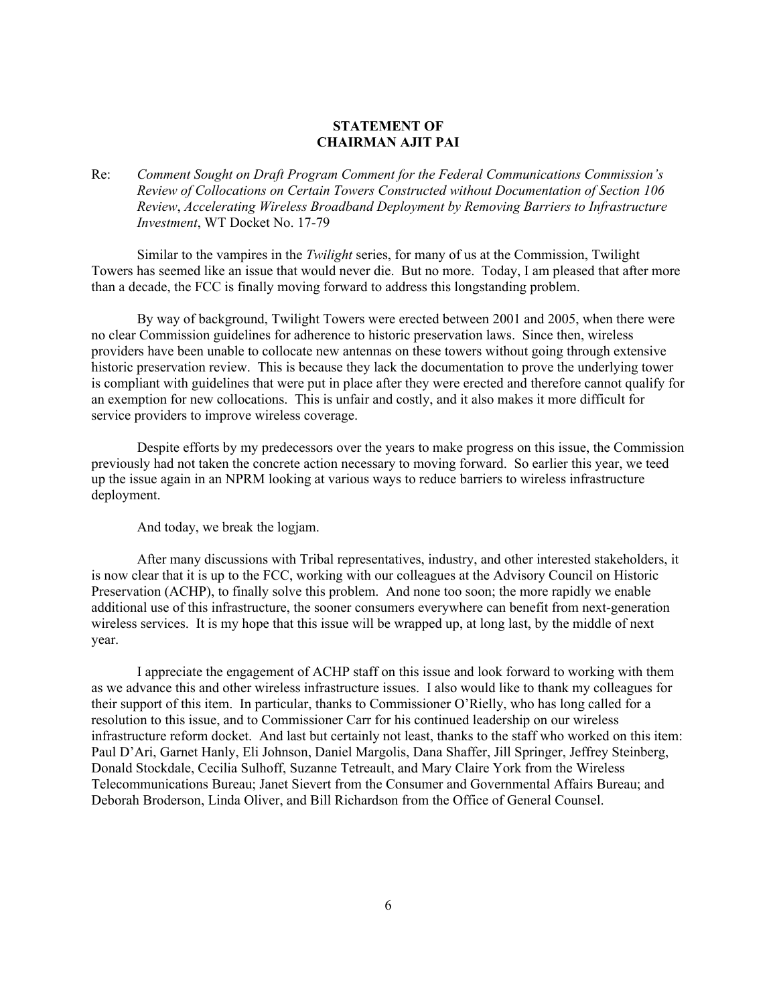### **STATEMENT OF CHAIRMAN AJIT PAI**

### Re: *Comment Sought on Draft Program Comment for the Federal Communications Commission's Review of Collocations on Certain Towers Constructed without Documentation of Section 106 Review*, *Accelerating Wireless Broadband Deployment by Removing Barriers to Infrastructure Investment*, WT Docket No. 17-79

Similar to the vampires in the *Twilight* series, for many of us at the Commission, Twilight Towers has seemed like an issue that would never die. But no more. Today, I am pleased that after more than a decade, the FCC is finally moving forward to address this longstanding problem.

By way of background, Twilight Towers were erected between 2001 and 2005, when there were no clear Commission guidelines for adherence to historic preservation laws. Since then, wireless providers have been unable to collocate new antennas on these towers without going through extensive historic preservation review. This is because they lack the documentation to prove the underlying tower is compliant with guidelines that were put in place after they were erected and therefore cannot qualify for an exemption for new collocations. This is unfair and costly, and it also makes it more difficult for service providers to improve wireless coverage.

Despite efforts by my predecessors over the years to make progress on this issue, the Commission previously had not taken the concrete action necessary to moving forward. So earlier this year, we teed up the issue again in an NPRM looking at various ways to reduce barriers to wireless infrastructure deployment.

And today, we break the logjam.

After many discussions with Tribal representatives, industry, and other interested stakeholders, it is now clear that it is up to the FCC, working with our colleagues at the Advisory Council on Historic Preservation (ACHP), to finally solve this problem. And none too soon; the more rapidly we enable additional use of this infrastructure, the sooner consumers everywhere can benefit from next-generation wireless services. It is my hope that this issue will be wrapped up, at long last, by the middle of next year.

I appreciate the engagement of ACHP staff on this issue and look forward to working with them as we advance this and other wireless infrastructure issues. I also would like to thank my colleagues for their support of this item. In particular, thanks to Commissioner O'Rielly, who has long called for a resolution to this issue, and to Commissioner Carr for his continued leadership on our wireless infrastructure reform docket. And last but certainly not least, thanks to the staff who worked on this item: Paul D'Ari, Garnet Hanly, Eli Johnson, Daniel Margolis, Dana Shaffer, Jill Springer, Jeffrey Steinberg, Donald Stockdale, Cecilia Sulhoff, Suzanne Tetreault, and Mary Claire York from the Wireless Telecommunications Bureau; Janet Sievert from the Consumer and Governmental Affairs Bureau; and Deborah Broderson, Linda Oliver, and Bill Richardson from the Office of General Counsel.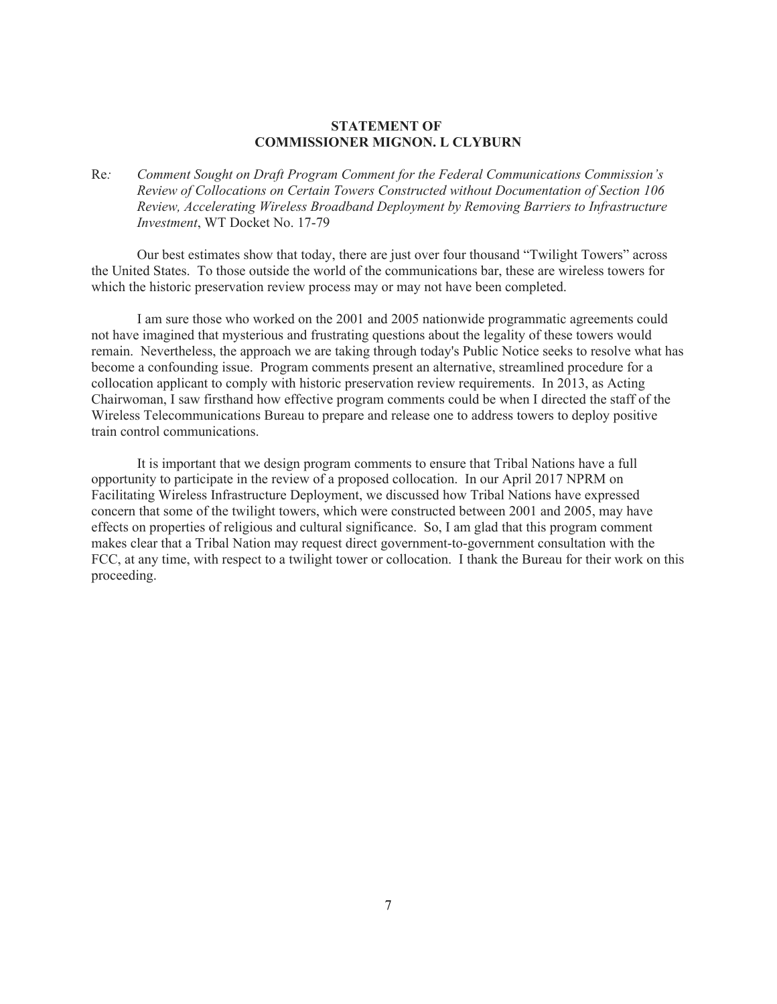## **STATEMENT OF COMMISSIONER MIGNON. L CLYBURN**

Re*: Comment Sought on Draft Program Comment for the Federal Communications Commission's Review of Collocations on Certain Towers Constructed without Documentation of Section 106 Review, Accelerating Wireless Broadband Deployment by Removing Barriers to Infrastructure Investment*, WT Docket No. 17-79

Our best estimates show that today, there are just over four thousand "Twilight Towers" across the United States. To those outside the world of the communications bar, these are wireless towers for which the historic preservation review process may or may not have been completed.

I am sure those who worked on the 2001 and 2005 nationwide programmatic agreements could not have imagined that mysterious and frustrating questions about the legality of these towers would remain. Nevertheless, the approach we are taking through today's Public Notice seeks to resolve what has become a confounding issue. Program comments present an alternative, streamlined procedure for a collocation applicant to comply with historic preservation review requirements. In 2013, as Acting Chairwoman, I saw firsthand how effective program comments could be when I directed the staff of the Wireless Telecommunications Bureau to prepare and release one to address towers to deploy positive train control communications.

It is important that we design program comments to ensure that Tribal Nations have a full opportunity to participate in the review of a proposed collocation. In our April 2017 NPRM on Facilitating Wireless Infrastructure Deployment, we discussed how Tribal Nations have expressed concern that some of the twilight towers, which were constructed between 2001 and 2005, may have effects on properties of religious and cultural significance. So, I am glad that this program comment makes clear that a Tribal Nation may request direct government-to-government consultation with the FCC, at any time, with respect to a twilight tower or collocation. I thank the Bureau for their work on this proceeding.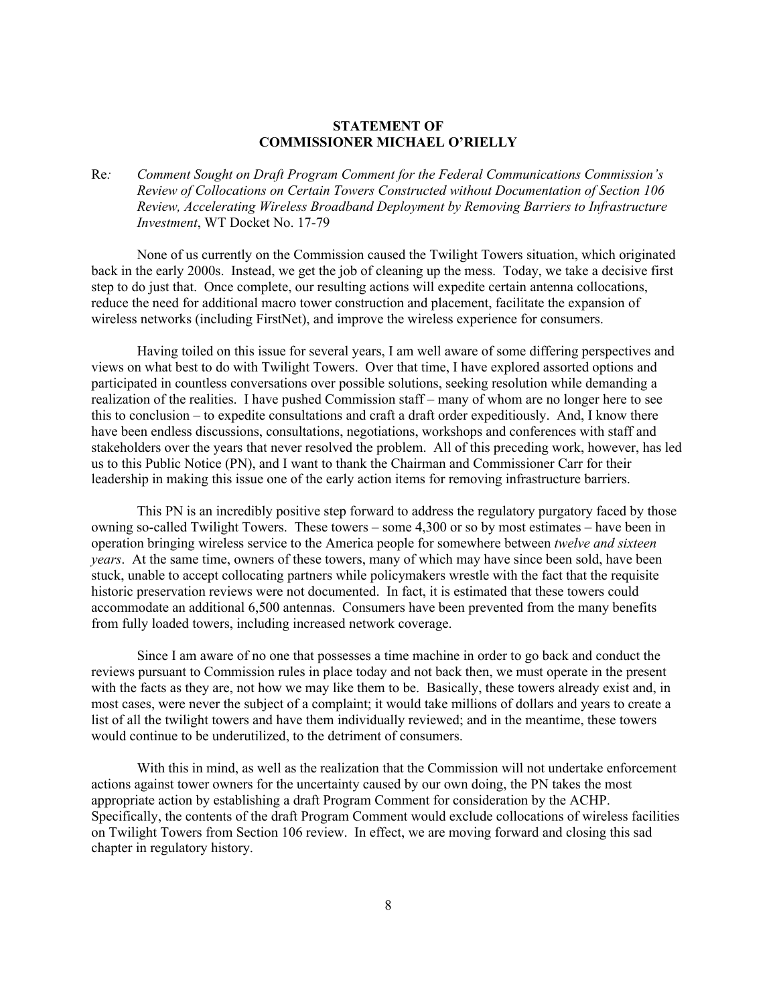### **STATEMENT OF COMMISSIONER MICHAEL O'RIELLY**

Re*: Comment Sought on Draft Program Comment for the Federal Communications Commission's Review of Collocations on Certain Towers Constructed without Documentation of Section 106 Review, Accelerating Wireless Broadband Deployment by Removing Barriers to Infrastructure Investment*, WT Docket No. 17-79

None of us currently on the Commission caused the Twilight Towers situation, which originated back in the early 2000s. Instead, we get the job of cleaning up the mess. Today, we take a decisive first step to do just that. Once complete, our resulting actions will expedite certain antenna collocations, reduce the need for additional macro tower construction and placement, facilitate the expansion of wireless networks (including FirstNet), and improve the wireless experience for consumers.

Having toiled on this issue for several years, I am well aware of some differing perspectives and views on what best to do with Twilight Towers. Over that time, I have explored assorted options and participated in countless conversations over possible solutions, seeking resolution while demanding a realization of the realities. I have pushed Commission staff – many of whom are no longer here to see this to conclusion – to expedite consultations and craft a draft order expeditiously. And, I know there have been endless discussions, consultations, negotiations, workshops and conferences with staff and stakeholders over the years that never resolved the problem. All of this preceding work, however, has led us to this Public Notice (PN), and I want to thank the Chairman and Commissioner Carr for their leadership in making this issue one of the early action items for removing infrastructure barriers.

This PN is an incredibly positive step forward to address the regulatory purgatory faced by those owning so-called Twilight Towers. These towers – some 4,300 or so by most estimates – have been in operation bringing wireless service to the America people for somewhere between *twelve and sixteen years*. At the same time, owners of these towers, many of which may have since been sold, have been stuck, unable to accept collocating partners while policymakers wrestle with the fact that the requisite historic preservation reviews were not documented. In fact, it is estimated that these towers could accommodate an additional 6,500 antennas. Consumers have been prevented from the many benefits from fully loaded towers, including increased network coverage.

Since I am aware of no one that possesses a time machine in order to go back and conduct the reviews pursuant to Commission rules in place today and not back then, we must operate in the present with the facts as they are, not how we may like them to be. Basically, these towers already exist and, in most cases, were never the subject of a complaint; it would take millions of dollars and years to create a list of all the twilight towers and have them individually reviewed; and in the meantime, these towers would continue to be underutilized, to the detriment of consumers.

With this in mind, as well as the realization that the Commission will not undertake enforcement actions against tower owners for the uncertainty caused by our own doing, the PN takes the most appropriate action by establishing a draft Program Comment for consideration by the ACHP. Specifically, the contents of the draft Program Comment would exclude collocations of wireless facilities on Twilight Towers from Section 106 review. In effect, we are moving forward and closing this sad chapter in regulatory history.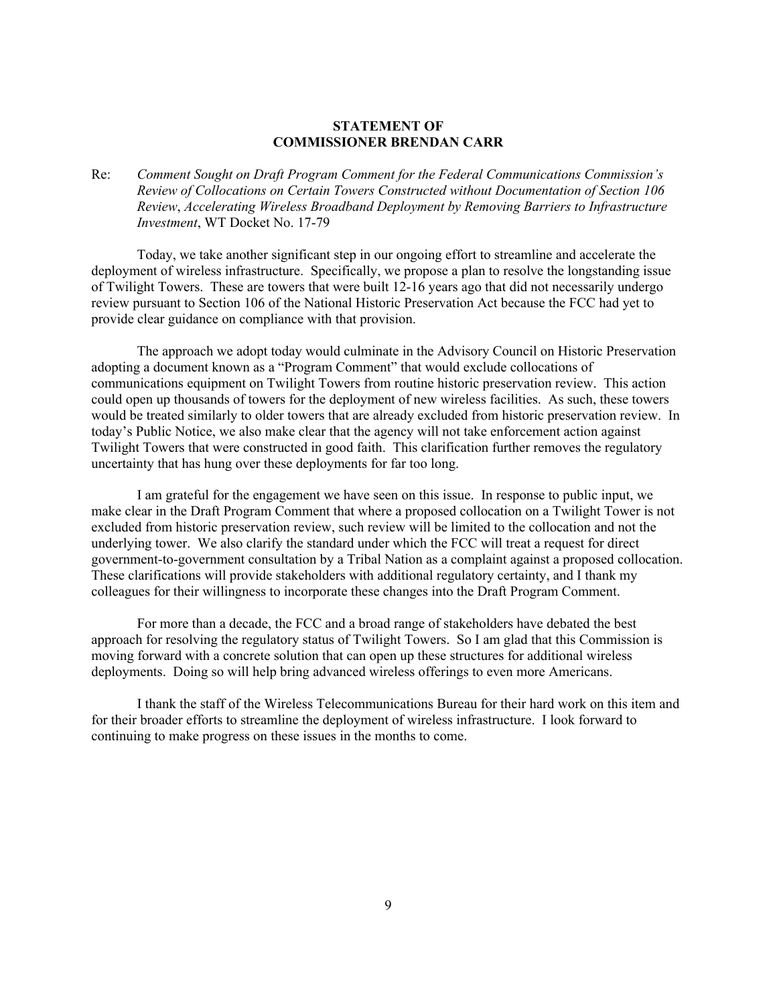### **STATEMENT OF COMMISSIONER BRENDAN CARR**

Re: *Comment Sought on Draft Program Comment for the Federal Communications Commission's Review of Collocations on Certain Towers Constructed without Documentation of Section 106 Review*, *Accelerating Wireless Broadband Deployment by Removing Barriers to Infrastructure Investment*, WT Docket No. 17-79

Today, we take another significant step in our ongoing effort to streamline and accelerate the deployment of wireless infrastructure. Specifically, we propose a plan to resolve the longstanding issue of Twilight Towers. These are towers that were built 12-16 years ago that did not necessarily undergo review pursuant to Section 106 of the National Historic Preservation Act because the FCC had yet to provide clear guidance on compliance with that provision.

The approach we adopt today would culminate in the Advisory Council on Historic Preservation adopting a document known as a "Program Comment" that would exclude collocations of communications equipment on Twilight Towers from routine historic preservation review. This action could open up thousands of towers for the deployment of new wireless facilities. As such, these towers would be treated similarly to older towers that are already excluded from historic preservation review. In today's Public Notice, we also make clear that the agency will not take enforcement action against Twilight Towers that were constructed in good faith. This clarification further removes the regulatory uncertainty that has hung over these deployments for far too long.

I am grateful for the engagement we have seen on this issue. In response to public input, we make clear in the Draft Program Comment that where a proposed collocation on a Twilight Tower is not excluded from historic preservation review, such review will be limited to the collocation and not the underlying tower. We also clarify the standard under which the FCC will treat a request for direct government-to-government consultation by a Tribal Nation as a complaint against a proposed collocation. These clarifications will provide stakeholders with additional regulatory certainty, and I thank my colleagues for their willingness to incorporate these changes into the Draft Program Comment.

For more than a decade, the FCC and a broad range of stakeholders have debated the best approach for resolving the regulatory status of Twilight Towers. So I am glad that this Commission is moving forward with a concrete solution that can open up these structures for additional wireless deployments. Doing so will help bring advanced wireless offerings to even more Americans.

I thank the staff of the Wireless Telecommunications Bureau for their hard work on this item and for their broader efforts to streamline the deployment of wireless infrastructure. I look forward to continuing to make progress on these issues in the months to come.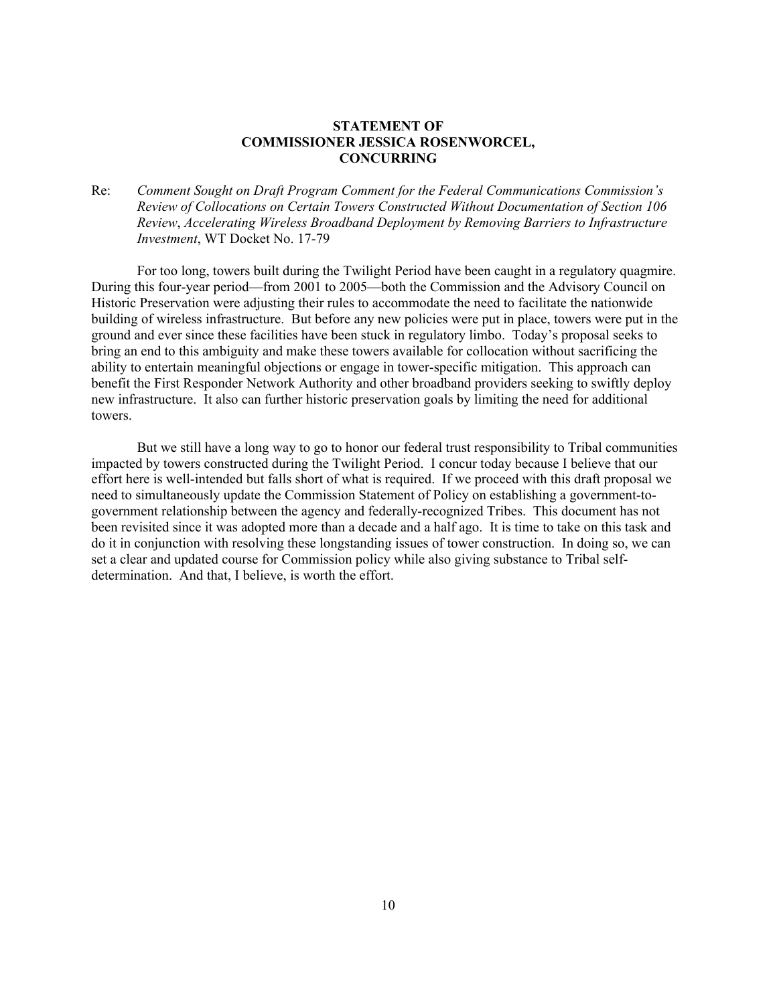### **STATEMENT OF COMMISSIONER JESSICA ROSENWORCEL, CONCURRING**

### Re: *Comment Sought on Draft Program Comment for the Federal Communications Commission's Review of Collocations on Certain Towers Constructed Without Documentation of Section 106 Review*, *Accelerating Wireless Broadband Deployment by Removing Barriers to Infrastructure Investment*, WT Docket No. 17-79

For too long, towers built during the Twilight Period have been caught in a regulatory quagmire. During this four-year period—from 2001 to 2005—both the Commission and the Advisory Council on Historic Preservation were adjusting their rules to accommodate the need to facilitate the nationwide building of wireless infrastructure. But before any new policies were put in place, towers were put in the ground and ever since these facilities have been stuck in regulatory limbo. Today's proposal seeks to bring an end to this ambiguity and make these towers available for collocation without sacrificing the ability to entertain meaningful objections or engage in tower-specific mitigation. This approach can benefit the First Responder Network Authority and other broadband providers seeking to swiftly deploy new infrastructure. It also can further historic preservation goals by limiting the need for additional towers.

But we still have a long way to go to honor our federal trust responsibility to Tribal communities impacted by towers constructed during the Twilight Period. I concur today because I believe that our effort here is well-intended but falls short of what is required. If we proceed with this draft proposal we need to simultaneously update the Commission Statement of Policy on establishing a government-togovernment relationship between the agency and federally-recognized Tribes. This document has not been revisited since it was adopted more than a decade and a half ago. It is time to take on this task and do it in conjunction with resolving these longstanding issues of tower construction. In doing so, we can set a clear and updated course for Commission policy while also giving substance to Tribal selfdetermination. And that, I believe, is worth the effort.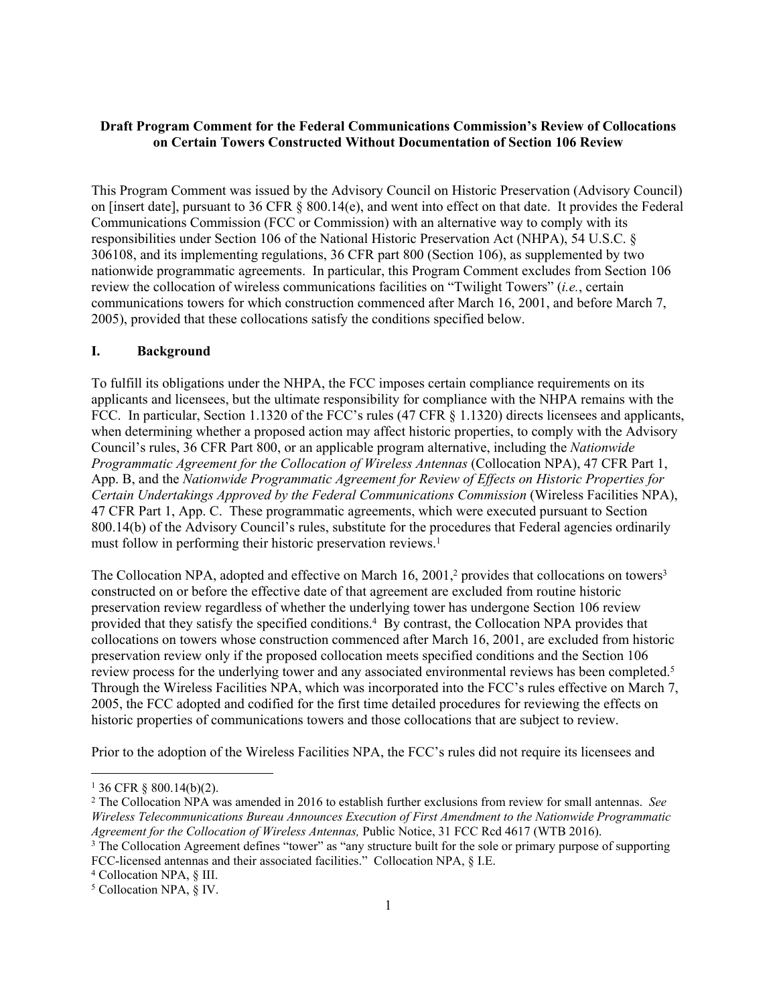## **Draft Program Comment for the Federal Communications Commission's Review of Collocations on Certain Towers Constructed Without Documentation of Section 106 Review**

This Program Comment was issued by the Advisory Council on Historic Preservation (Advisory Council) on [insert date], pursuant to 36 CFR § 800.14(e), and went into effect on that date. It provides the Federal Communications Commission (FCC or Commission) with an alternative way to comply with its responsibilities under Section 106 of the National Historic Preservation Act (NHPA), 54 U.S.C. § 306108, and its implementing regulations, 36 CFR part 800 (Section 106), as supplemented by two nationwide programmatic agreements. In particular, this Program Comment excludes from Section 106 review the collocation of wireless communications facilities on "Twilight Towers" (*i.e.*, certain communications towers for which construction commenced after March 16, 2001, and before March 7, 2005), provided that these collocations satisfy the conditions specified below.

#### **I. Background**

To fulfill its obligations under the NHPA, the FCC imposes certain compliance requirements on its applicants and licensees, but the ultimate responsibility for compliance with the NHPA remains with the FCC. In particular, Section 1.1320 of the FCC's rules (47 CFR § 1.1320) directs licensees and applicants, when determining whether a proposed action may affect historic properties, to comply with the Advisory Council's rules, 36 CFR Part 800, or an applicable program alternative, including the *Nationwide Programmatic Agreement for the Collocation of Wireless Antennas* (Collocation NPA), 47 CFR Part 1, App. B, and the *Nationwide Programmatic Agreement for Review of Effects on Historic Properties for Certain Undertakings Approved by the Federal Communications Commission* (Wireless Facilities NPA), 47 CFR Part 1, App. C. These programmatic agreements, which were executed pursuant to Section 800.14(b) of the Advisory Council's rules, substitute for the procedures that Federal agencies ordinarily must follow in performing their historic preservation reviews.<sup>1</sup>

The Collocation NPA, adopted and effective on March 16, 2001,<sup>2</sup> provides that collocations on towers<sup>3</sup> constructed on or before the effective date of that agreement are excluded from routine historic preservation review regardless of whether the underlying tower has undergone Section 106 review provided that they satisfy the specified conditions.<sup>4</sup> By contrast, the Collocation NPA provides that collocations on towers whose construction commenced after March 16, 2001, are excluded from historic preservation review only if the proposed collocation meets specified conditions and the Section 106 review process for the underlying tower and any associated environmental reviews has been completed.<sup>5</sup> Through the Wireless Facilities NPA, which was incorporated into the FCC's rules effective on March 7, 2005, the FCC adopted and codified for the first time detailed procedures for reviewing the effects on historic properties of communications towers and those collocations that are subject to review.

Prior to the adoption of the Wireless Facilities NPA, the FCC's rules did not require its licensees and

4 Collocation NPA, § III.

 $1\,36$  CFR § 800.14(b)(2).

<sup>2</sup> The Collocation NPA was amended in 2016 to establish further exclusions from review for small antennas. *See Wireless Telecommunications Bureau Announces Execution of First Amendment to the Nationwide Programmatic Agreement for the Collocation of Wireless Antennas,* Public Notice, 31 FCC Rcd 4617 (WTB 2016).

<sup>&</sup>lt;sup>3</sup> The Collocation Agreement defines "tower" as "any structure built for the sole or primary purpose of supporting FCC-licensed antennas and their associated facilities." Collocation NPA, § I.E.

<sup>5</sup> Collocation NPA, § IV.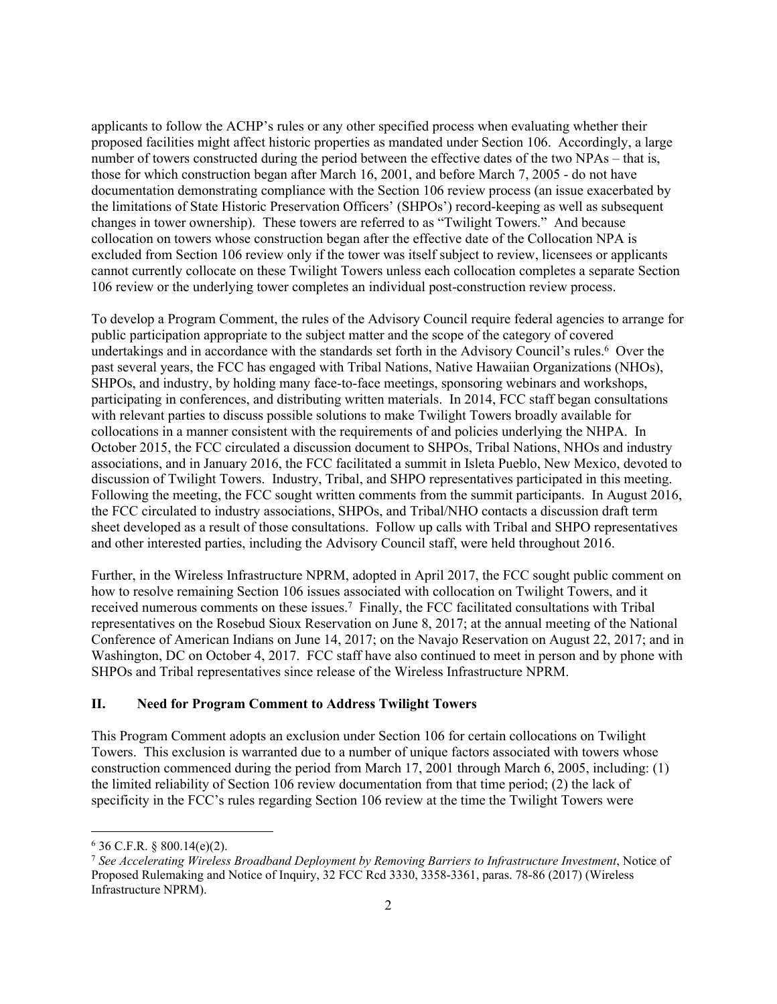applicants to follow the ACHP's rules or any other specified process when evaluating whether their proposed facilities might affect historic properties as mandated under Section 106. Accordingly, a large number of towers constructed during the period between the effective dates of the two NPAs – that is, those for which construction began after March 16, 2001, and before March 7, 2005 - do not have documentation demonstrating compliance with the Section 106 review process (an issue exacerbated by the limitations of State Historic Preservation Officers' (SHPOs') record-keeping as well as subsequent changes in tower ownership). These towers are referred to as "Twilight Towers." And because collocation on towers whose construction began after the effective date of the Collocation NPA is excluded from Section 106 review only if the tower was itself subject to review, licensees or applicants cannot currently collocate on these Twilight Towers unless each collocation completes a separate Section 106 review or the underlying tower completes an individual post-construction review process.

To develop a Program Comment, the rules of the Advisory Council require federal agencies to arrange for public participation appropriate to the subject matter and the scope of the category of covered undertakings and in accordance with the standards set forth in the Advisory Council's rules.<sup>6</sup> Over the past several years, the FCC has engaged with Tribal Nations, Native Hawaiian Organizations (NHOs), SHPOs, and industry, by holding many face-to-face meetings, sponsoring webinars and workshops, participating in conferences, and distributing written materials. In 2014, FCC staff began consultations with relevant parties to discuss possible solutions to make Twilight Towers broadly available for collocations in a manner consistent with the requirements of and policies underlying the NHPA. In October 2015, the FCC circulated a discussion document to SHPOs, Tribal Nations, NHOs and industry associations, and in January 2016, the FCC facilitated a summit in Isleta Pueblo, New Mexico, devoted to discussion of Twilight Towers. Industry, Tribal, and SHPO representatives participated in this meeting. Following the meeting, the FCC sought written comments from the summit participants. In August 2016, the FCC circulated to industry associations, SHPOs, and Tribal/NHO contacts a discussion draft term sheet developed as a result of those consultations. Follow up calls with Tribal and SHPO representatives and other interested parties, including the Advisory Council staff, were held throughout 2016.

Further, in the Wireless Infrastructure NPRM, adopted in April 2017, the FCC sought public comment on how to resolve remaining Section 106 issues associated with collocation on Twilight Towers, and it received numerous comments on these issues.<sup>7</sup> Finally, the FCC facilitated consultations with Tribal representatives on the Rosebud Sioux Reservation on June 8, 2017; at the annual meeting of the National Conference of American Indians on June 14, 2017; on the Navajo Reservation on August 22, 2017; and in Washington, DC on October 4, 2017. FCC staff have also continued to meet in person and by phone with SHPOs and Tribal representatives since release of the Wireless Infrastructure NPRM.

### **II. Need for Program Comment to Address Twilight Towers**

This Program Comment adopts an exclusion under Section 106 for certain collocations on Twilight Towers. This exclusion is warranted due to a number of unique factors associated with towers whose construction commenced during the period from March 17, 2001 through March 6, 2005, including: (1) the limited reliability of Section 106 review documentation from that time period; (2) the lack of specificity in the FCC's rules regarding Section 106 review at the time the Twilight Towers were

 $6$  36 C.F.R. § 800.14(e)(2).

<sup>7</sup> *See Accelerating Wireless Broadband Deployment by Removing Barriers to Infrastructure Investment*, Notice of Proposed Rulemaking and Notice of Inquiry, 32 FCC Rcd 3330, 3358-3361, paras. 78-86 (2017) (Wireless Infrastructure NPRM).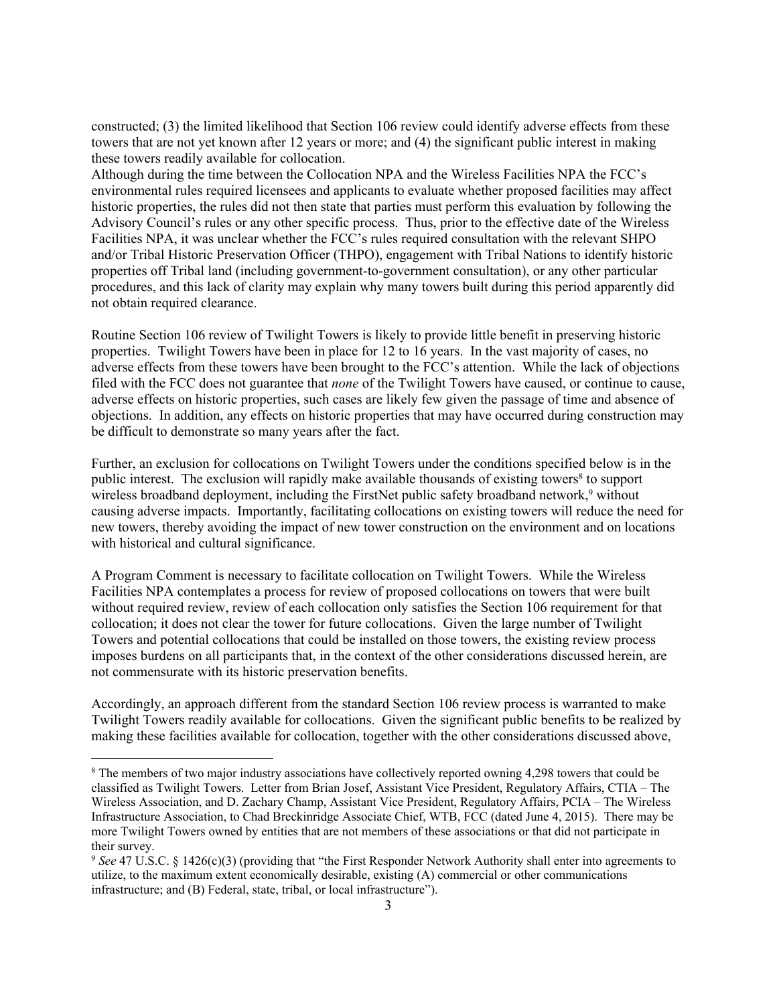constructed; (3) the limited likelihood that Section 106 review could identify adverse effects from these towers that are not yet known after 12 years or more; and (4) the significant public interest in making these towers readily available for collocation.

Although during the time between the Collocation NPA and the Wireless Facilities NPA the FCC's environmental rules required licensees and applicants to evaluate whether proposed facilities may affect historic properties, the rules did not then state that parties must perform this evaluation by following the Advisory Council's rules or any other specific process. Thus, prior to the effective date of the Wireless Facilities NPA, it was unclear whether the FCC's rules required consultation with the relevant SHPO and/or Tribal Historic Preservation Officer (THPO), engagement with Tribal Nations to identify historic properties off Tribal land (including government-to-government consultation), or any other particular procedures, and this lack of clarity may explain why many towers built during this period apparently did not obtain required clearance.

Routine Section 106 review of Twilight Towers is likely to provide little benefit in preserving historic properties. Twilight Towers have been in place for 12 to 16 years. In the vast majority of cases, no adverse effects from these towers have been brought to the FCC's attention. While the lack of objections filed with the FCC does not guarantee that *none* of the Twilight Towers have caused, or continue to cause, adverse effects on historic properties, such cases are likely few given the passage of time and absence of objections. In addition, any effects on historic properties that may have occurred during construction may be difficult to demonstrate so many years after the fact.

Further, an exclusion for collocations on Twilight Towers under the conditions specified below is in the public interest. The exclusion will rapidly make available thousands of existing towers<sup>8</sup> to support wireless broadband deployment, including the FirstNet public safety broadband network,<sup>9</sup> without causing adverse impacts. Importantly, facilitating collocations on existing towers will reduce the need for new towers, thereby avoiding the impact of new tower construction on the environment and on locations with historical and cultural significance.

A Program Comment is necessary to facilitate collocation on Twilight Towers. While the Wireless Facilities NPA contemplates a process for review of proposed collocations on towers that were built without required review, review of each collocation only satisfies the Section 106 requirement for that collocation; it does not clear the tower for future collocations. Given the large number of Twilight Towers and potential collocations that could be installed on those towers, the existing review process imposes burdens on all participants that, in the context of the other considerations discussed herein, are not commensurate with its historic preservation benefits.

Accordingly, an approach different from the standard Section 106 review process is warranted to make Twilight Towers readily available for collocations. Given the significant public benefits to be realized by making these facilities available for collocation, together with the other considerations discussed above,

<sup>&</sup>lt;sup>8</sup> The members of two major industry associations have collectively reported owning 4,298 towers that could be classified as Twilight Towers. Letter from Brian Josef, Assistant Vice President, Regulatory Affairs, CTIA – The Wireless Association, and D. Zachary Champ, Assistant Vice President, Regulatory Affairs, PCIA – The Wireless Infrastructure Association, to Chad Breckinridge Associate Chief, WTB, FCC (dated June 4, 2015). There may be more Twilight Towers owned by entities that are not members of these associations or that did not participate in their survey.

<sup>9</sup> *See* 47 U.S.C. § 1426(c)(3) (providing that "the First Responder Network Authority shall enter into agreements to utilize, to the maximum extent economically desirable, existing (A) commercial or other communications infrastructure; and (B) Federal, state, tribal, or local infrastructure").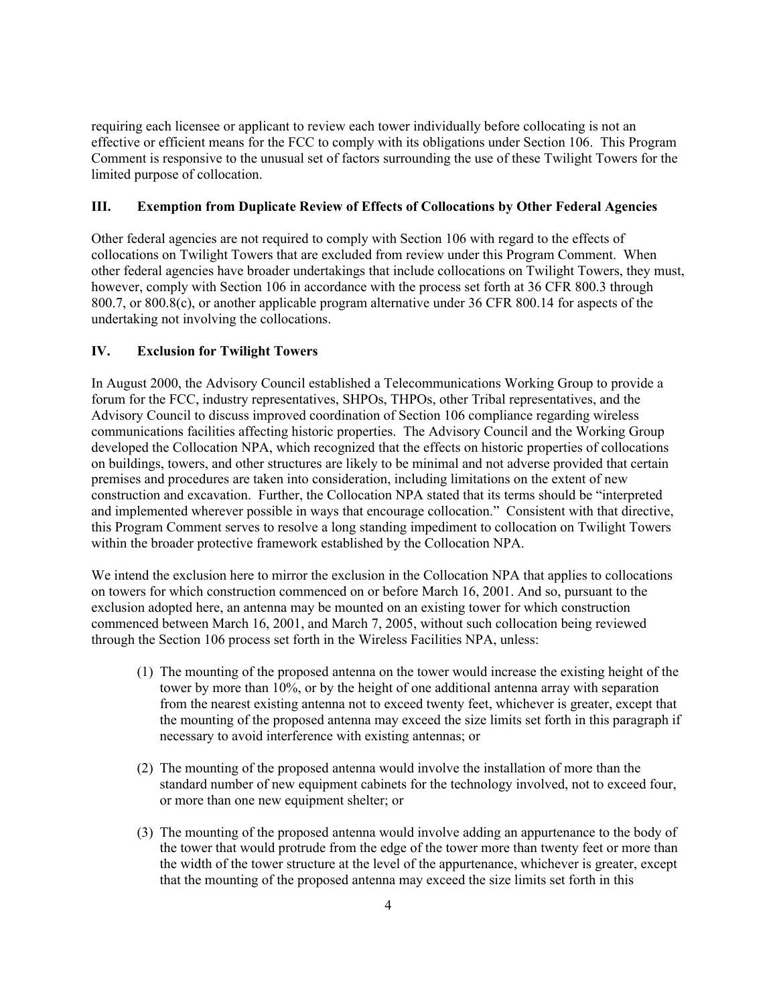requiring each licensee or applicant to review each tower individually before collocating is not an effective or efficient means for the FCC to comply with its obligations under Section 106. This Program Comment is responsive to the unusual set of factors surrounding the use of these Twilight Towers for the limited purpose of collocation.

### **III. Exemption from Duplicate Review of Effects of Collocations by Other Federal Agencies**

Other federal agencies are not required to comply with Section 106 with regard to the effects of collocations on Twilight Towers that are excluded from review under this Program Comment. When other federal agencies have broader undertakings that include collocations on Twilight Towers, they must, however, comply with Section 106 in accordance with the process set forth at 36 CFR 800.3 through 800.7, or 800.8(c), or another applicable program alternative under 36 CFR 800.14 for aspects of the undertaking not involving the collocations.

#### **IV. Exclusion for Twilight Towers**

In August 2000, the Advisory Council established a Telecommunications Working Group to provide a forum for the FCC, industry representatives, SHPOs, THPOs, other Tribal representatives, and the Advisory Council to discuss improved coordination of Section 106 compliance regarding wireless communications facilities affecting historic properties. The Advisory Council and the Working Group developed the Collocation NPA, which recognized that the effects on historic properties of collocations on buildings, towers, and other structures are likely to be minimal and not adverse provided that certain premises and procedures are taken into consideration, including limitations on the extent of new construction and excavation. Further, the Collocation NPA stated that its terms should be "interpreted and implemented wherever possible in ways that encourage collocation." Consistent with that directive, this Program Comment serves to resolve a long standing impediment to collocation on Twilight Towers within the broader protective framework established by the Collocation NPA.

We intend the exclusion here to mirror the exclusion in the Collocation NPA that applies to collocations on towers for which construction commenced on or before March 16, 2001. And so, pursuant to the exclusion adopted here, an antenna may be mounted on an existing tower for which construction commenced between March 16, 2001, and March 7, 2005, without such collocation being reviewed through the Section 106 process set forth in the Wireless Facilities NPA, unless:

- (1) The mounting of the proposed antenna on the tower would increase the existing height of the tower by more than 10%, or by the height of one additional antenna array with separation from the nearest existing antenna not to exceed twenty feet, whichever is greater, except that the mounting of the proposed antenna may exceed the size limits set forth in this paragraph if necessary to avoid interference with existing antennas; or
- (2) The mounting of the proposed antenna would involve the installation of more than the standard number of new equipment cabinets for the technology involved, not to exceed four, or more than one new equipment shelter; or
- (3) The mounting of the proposed antenna would involve adding an appurtenance to the body of the tower that would protrude from the edge of the tower more than twenty feet or more than the width of the tower structure at the level of the appurtenance, whichever is greater, except that the mounting of the proposed antenna may exceed the size limits set forth in this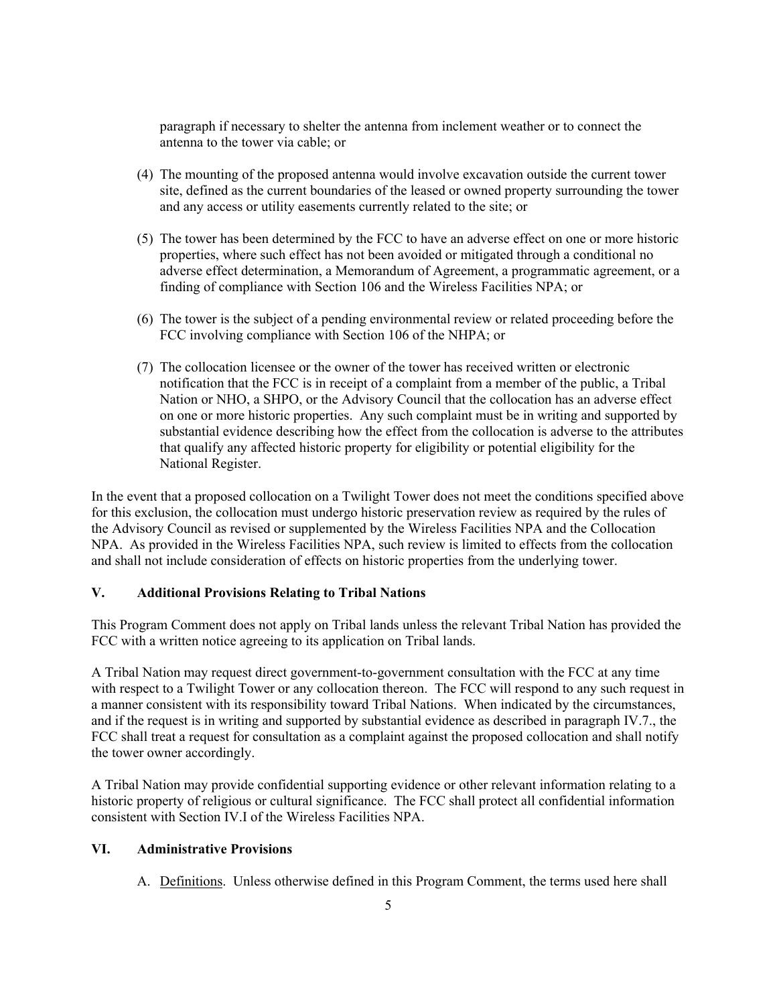paragraph if necessary to shelter the antenna from inclement weather or to connect the antenna to the tower via cable; or

- (4) The mounting of the proposed antenna would involve excavation outside the current tower site, defined as the current boundaries of the leased or owned property surrounding the tower and any access or utility easements currently related to the site; or
- (5) The tower has been determined by the FCC to have an adverse effect on one or more historic properties, where such effect has not been avoided or mitigated through a conditional no adverse effect determination, a Memorandum of Agreement, a programmatic agreement, or a finding of compliance with Section 106 and the Wireless Facilities NPA; or
- (6) The tower is the subject of a pending environmental review or related proceeding before the FCC involving compliance with Section 106 of the NHPA; or
- (7) The collocation licensee or the owner of the tower has received written or electronic notification that the FCC is in receipt of a complaint from a member of the public, a Tribal Nation or NHO, a SHPO, or the Advisory Council that the collocation has an adverse effect on one or more historic properties. Any such complaint must be in writing and supported by substantial evidence describing how the effect from the collocation is adverse to the attributes that qualify any affected historic property for eligibility or potential eligibility for the National Register.

In the event that a proposed collocation on a Twilight Tower does not meet the conditions specified above for this exclusion, the collocation must undergo historic preservation review as required by the rules of the Advisory Council as revised or supplemented by the Wireless Facilities NPA and the Collocation NPA. As provided in the Wireless Facilities NPA, such review is limited to effects from the collocation and shall not include consideration of effects on historic properties from the underlying tower.

## **V. Additional Provisions Relating to Tribal Nations**

This Program Comment does not apply on Tribal lands unless the relevant Tribal Nation has provided the FCC with a written notice agreeing to its application on Tribal lands.

A Tribal Nation may request direct government-to-government consultation with the FCC at any time with respect to a Twilight Tower or any collocation thereon. The FCC will respond to any such request in a manner consistent with its responsibility toward Tribal Nations. When indicated by the circumstances, and if the request is in writing and supported by substantial evidence as described in paragraph IV.7., the FCC shall treat a request for consultation as a complaint against the proposed collocation and shall notify the tower owner accordingly.

A Tribal Nation may provide confidential supporting evidence or other relevant information relating to a historic property of religious or cultural significance. The FCC shall protect all confidential information consistent with Section IV.I of the Wireless Facilities NPA.

#### **VI. Administrative Provisions**

A. Definitions. Unless otherwise defined in this Program Comment, the terms used here shall